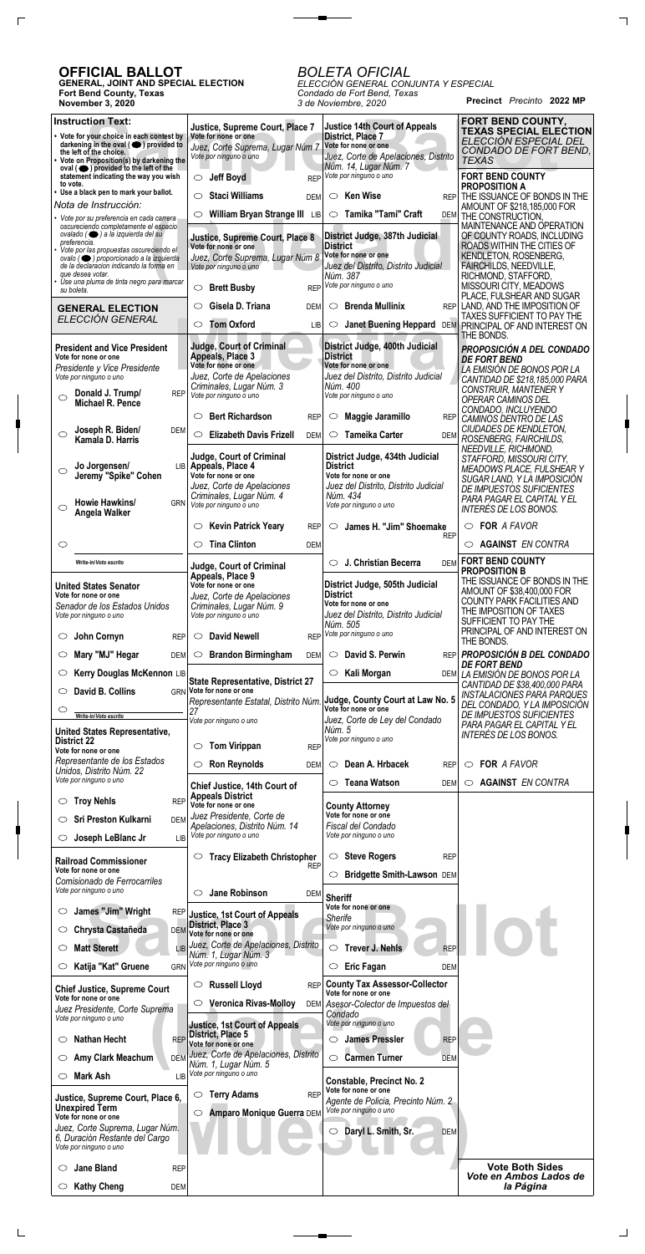**Precinct** *Precinto* **2022 MP**

 $\blacksquare$ 

 $\Box$ 

### **OFFICIAL BALLOT**

 $\Gamma$ 

 $\Box$ 

**GENERAL, JOINT AND SPECIAL ELECTION Fort Bend County, Texas November 3, 2020**

## *BOLETA OFICIAL*

 $\overline{\phantom{a}}$ 

*ELECCIÓN GENERAL CONJUNTA Y ESPECIAL Condado de Fort Bend, Texas 3 de Noviembre, 2020*

| <b>Instruction Text:</b>                                                                                                | Justice, Supreme Court, Place 7                                      | <b>Justice 14th Court of Appeals</b>                          | FORT BEND COUNTY,<br><b>TEXAS SPECIAL ELECTION</b>                   |
|-------------------------------------------------------------------------------------------------------------------------|----------------------------------------------------------------------|---------------------------------------------------------------|----------------------------------------------------------------------|
| • Vote for your choice in each contest by<br>darkening in the oval $($ $\bullet)$ provided to                           | Vote for none or one<br>Juez, Corte Suprema, Lugar Núm 7             | District, Place 7<br>Vote for none or one                     | ELECCIÓN ESPECIAL DEL                                                |
| the left of the choice.<br>• Vote on Proposition(s) by darkening the                                                    | Vote por ninguno o uno                                               | Juez, Corte de Apelaciones, Distrito<br>Núm. 14, Lugar Núm. 7 | CONDADO DE FORT BEND.<br><b>TEXAS</b>                                |
| oval $($ $\bullet)$ provided to the left of the<br>statement indicating the way you wish<br>to vote.                    | <b>Jeff Boyd</b><br><b>REP</b><br>$\circ$                            | Vote por ninguno o uno                                        | <b>FORT BEND COUNTY</b>                                              |
| • Use a black pen to mark your ballot.                                                                                  | <b>Staci Williams</b><br>◯<br><b>DEM</b>                             | $\circ$ Ken Wise                                              | <b>PROPOSITION A</b><br>REP THE ISSUANCE OF BONDS IN THE             |
| Nota de Instrucción:                                                                                                    | William Bryan Strange III LIB<br>$\circlearrowright$                 | $\circ$ Tamika "Tami" Craft                                   | AMOUNT OF \$218,185,000 FOR<br>DEM THE CONSTRUCTION,                 |
| • Vote por su preferencia en cada carrera<br>oscureciendo completamente el espacio<br>ovalado ( ) a la izquierda del su |                                                                      |                                                               | MAINTENANCE AND OPERATION                                            |
| preferencia.<br>Vote por las propuestas oscureciendo el                                                                 | Justice, Supreme Court, Place 8<br>Vote for none or one              | District Judge, 387th Judicial<br><b>District</b>             | OF COUNTY ROADS, INCLUDING<br>ROADS WITHIN THE CITIES OF             |
| ovalo ( i proporcionado a la izquierda<br>de la declaracion indicando la forma en                                       | Juez, Corte Suprema, Lugar Núm 8<br>Vote por ninguno o uno           | Vote for none or one<br>Juez del Distrito, Distrito Judicial  | <b>KENDLETON, ROSENBERG,</b><br>FAIRCHILDS, NEEDVILLE,               |
| que desea votar.<br>Use una pluma de tinta negro para marcar                                                            |                                                                      | Núm. 387                                                      | RICHMOND, STAFFORD,                                                  |
| su boleta.                                                                                                              | <b>Brett Busby</b><br><b>REP</b><br>$\circ$                          | Vote por ninguno o uno                                        | MISSOURI CITY, MEADOWS<br>PLACE, FULSHEAR AND SUGAR                  |
| <b>GENERAL ELECTION</b><br>ELECCIÓN GENERAL                                                                             | Gisela D. Triana<br>$\circ$<br><b>DEM</b>                            | <b>Brenda Mullinix</b><br>$\circ$                             | REP LAND, AND THE IMPOSITION OF<br>TAXES SUFFICIENT TO PAY THE       |
|                                                                                                                         | <b>Tom Oxford</b><br>$\circ$<br>LIB                                  | $\circ$                                                       | Janet Buening Heppard DEM PRINCIPAL OF AND INTEREST ON<br>THE BONDS. |
| <b>President and Vice President</b>                                                                                     | <b>Judge, Court of Criminal</b>                                      | District Judge, 400th Judicial                                | <b>PROPOSICIÓN A DEL CONDADO</b>                                     |
| Vote for none or one<br>Presidente y Vice Presidente                                                                    | Appeals, Place 3<br>Vote for none or one                             | <b>District</b><br>Vote for none or one                       | <b>DE FORT BEND</b><br>LA EMISIÓN DE BONOS POR LA                    |
| Vote por ninguno o uno                                                                                                  | Juez, Corte de Apelaciones<br>Criminales, Lugar Núm. 3               | Juez del Distrito, Distrito Judicial<br>Núm. 400              | CANTIDAD DE \$218,185,000 PARA                                       |
| Donald J. Trump/<br><b>REP</b><br>$\circ$<br>Michael R. Pence                                                           | Vote por ninguno o uno                                               | Vote por ninguno o uno                                        | <b>CONSTRUIR, MANTENER Y</b><br>OPERAR CAMINOS DEL                   |
|                                                                                                                         | <b>Bert Richardson</b><br>$\circ$<br><b>REP</b>                      | Maggie Jaramillo<br><b>REP</b><br>O                           | CONDADO, INCLUYENDO<br>CAMINOS DENTRO DE LAS                         |
| Joseph R. Biden/<br><b>DEM</b><br>$\circ$<br>Kamala D. Harris                                                           | <b>Elizabeth Davis Frizell</b><br>$\circlearrowright$<br><b>DEM</b>  | Tameika Carter<br>$\circ$<br>DEM                              | CIUDADES DE KENDLETON,                                               |
|                                                                                                                         | <b>Judge, Court of Criminal</b>                                      | District Judge, 434th Judicial                                | ROSENBERG, FAIRCHILDS,<br>NEEDVILLE, RICHMOND,                       |
| Jo Jorgensen/<br>$\circ$                                                                                                | LIB Appeals, Place 4                                                 | <b>District</b>                                               | STAFFORD, MISSOURI CITY,<br><b>MEADOWS PLACE, FULSHEAR Y</b>         |
| Jeremy "Spike" Cohen                                                                                                    | Vote for none or one<br>Juez, Corte de Apelaciones                   | Vote for none or one<br>Juez del Distrito, Distrito Judicial  | SUGAR LAND, Y LA IMPOSICIÓN<br>DE IMPUESTOS SUFICIENTES              |
| Howie Hawkins/<br><b>GRN</b>                                                                                            | Criminales, Lugar Núm. 4<br>Vote por ninguno o uno                   | Núm. 434<br>Vote por ninguno o uno                            | PARA PAGAR EL CAPITAL Y EL                                           |
| $\circ$<br>Angela Walker                                                                                                |                                                                      |                                                               | INTERÉS DE LOS BONOS.                                                |
|                                                                                                                         | <b>Kevin Patrick Yeary</b><br>$\circlearrowright$<br><b>REP</b>      | James H. "Jim" Shoemake<br>$\circ$<br><b>REP</b>              | $\circ$ FOR A FAVOR                                                  |
| $\circlearrowright$                                                                                                     | <b>Tina Clinton</b><br>$\circlearrowright$<br><b>DEM</b>             |                                                               | <b>AGAINST EN CONTRA</b><br>O                                        |
| Write-in/Voto escrito                                                                                                   | <b>Judge, Court of Criminal</b>                                      | J. Christian Becerra                                          | DEM FORT BEND COUNTY<br><b>PROPOSITION B</b>                         |
| <b>United States Senator</b>                                                                                            | Appeals, Place 9<br>Vote for none or one                             | District Judge, 505th Judicial                                | THE ISSUANCE OF BONDS IN THE<br>AMOUNT OF \$38,400,000 FOR           |
| Vote for none or one<br>Senador de los Estados Unidos                                                                   | Juez, Corte de Apelaciones<br>Criminales, Lugar Núm. 9               | <b>District</b><br>Vote for none or one                       | COUNTY PARK FACILITIES AND                                           |
| Vote por ninguno o uno                                                                                                  | Vote por ninguno o uno                                               | Juez del Distrito, Distrito Judicial<br>Núm. 505              | THE IMPOSITION OF TAXES<br>SUFFICIENT TO PAY THE                     |
| John Cornyn<br><b>REP</b><br>$\circ$                                                                                    | <b>David Newell</b><br>$\circ$<br><b>REP</b>                         | Vote por ninguno o uno                                        | PRINCIPAL OF AND INTEREST ON<br>THE BONDS.                           |
| Mary "MJ" Hegar<br><b>DEM</b><br>O                                                                                      | $\circ$ Brandon Birmingham<br><b>DEM</b>                             | $\circ$ David S. Perwin                                       | REP <b>PROPOSICIÓN B DEL CONDADO</b>                                 |
| Kerry Douglas McKennon LIB<br>O                                                                                         |                                                                      | Kali Morgan<br>O                                              | <b>DE FORT BEND</b><br>DEM LA EMISIÓN DE BONOS POR LA                |
| David B. Collins<br>$\circ$                                                                                             | <b>State Representative, District 27</b><br>GRN Vote for none or one |                                                               | CANTIDAD DE \$38,400,000 PARA                                        |
| O                                                                                                                       | Representante Estatal, Distrito Núm                                  | Judge, County Court at Law No. 5<br>Vote for none or one      | <b>INSTALACIONES PARA PARQUES</b><br>DEL CONDADO, Y LA IMPOSICIÓN    |
| Write-in/Voto escrito                                                                                                   | 27<br>Vote por ninguno o uno                                         | Juez, Corte de Ley del Condado                                | DE IMPUESTOS SUFICIENTES<br>PARA PAGAR EL CAPITAL Y EL               |
| United States Representative,<br><b>District 22</b>                                                                     |                                                                      | Núm. 5<br>Vote por ninguno o uno                              | INTERÉS DE LOS BONOS.                                                |
| Vote for none or one<br>Representante de los Estados                                                                    | <b>Tom Virippan</b><br>$\circlearrowright$<br><b>REP</b>             |                                                               |                                                                      |
| Unidos, Distrito Núm. 22                                                                                                | <b>Ron Reynolds</b><br>$\circ$<br><b>DEM</b>                         | Dean A. Hrbacek<br><b>REP</b><br>$\circ$                      | FOR A FAVOR<br>$\circ$                                               |
| Vote por ninguno o uno                                                                                                  | Chief Justice, 14th Court of                                         | $\circ$ Teana Watson<br>DEM                                   | <b>AGAINST EN CONTRA</b><br>$\circ$                                  |
| <b>Troy Nehls</b><br><b>REP</b><br>O                                                                                    | <b>Appeals District</b><br>Vote for none or one                      | <b>County Attorney</b>                                        |                                                                      |
| <b>Sri Preston Kulkarni</b><br><b>DEM</b><br>◯                                                                          | Juez Presidente, Corte de<br>Apelaciones, Distrito Núm. 14           | Vote for none or one<br>Fiscal del Condado                    |                                                                      |
| Joseph LeBlanc Jr<br>$\circ$<br><b>LIB</b>                                                                              | Vote por ninguno o uno                                               | Vote por ninguno o uno                                        |                                                                      |
| <b>Railroad Commissioner</b>                                                                                            | <b>Tracy Elizabeth Christopher</b>                                   | $\circ$ Steve Rogers<br><b>REP</b>                            |                                                                      |
| Vote for none or one                                                                                                    | <b>REP</b>                                                           | Bridgette Smith-Lawson DEM<br>$\circ$                         |                                                                      |
| Comisionado de Ferrocarriles<br>Vote por ninguno o uno                                                                  | Jane Robinson<br>$\circ$<br><b>DEM</b>                               | <b>Sheriff</b>                                                |                                                                      |
| James "Jim" Wright<br>$\circ$<br><b>REP</b>                                                                             | <b>Justice, 1st Court of Appeals</b>                                 | Vote for none or one                                          |                                                                      |
| Chrysta Castañeda<br>O                                                                                                  | <b>District, Place 3</b>                                             | <b>Sherife</b><br>Vote por ninguno o uno                      |                                                                      |
| <b>Matt Sterett</b><br>O                                                                                                | DEM Vote for none or one<br>Juez, Corte de Apelaciones, Distrito     | <b>Trever J. Nehls</b><br>$\circ$                             |                                                                      |
|                                                                                                                         | Núm. 1, Lugar Núm. 3<br>Vote por ninguno o uno                       | <b>REP</b>                                                    |                                                                      |
| Katija "Kat" Gruene<br><b>GRN</b><br>$\circ$                                                                            |                                                                      | <b>Eric Fagan</b><br>$\circ$<br><b>DEM</b>                    |                                                                      |
| <b>Chief Justice, Supreme Court</b><br>Vote for none or one                                                             | $\circ$ Russell Lloyd                                                | REP County Tax Assessor-Collector<br>Vote for none or one     |                                                                      |
| Juez Presidente, Corte Suprema                                                                                          | $\circ$ Veronica Rivas-Molloy                                        | DEM Asesor-Colector de Impuestos del<br>Condado               |                                                                      |
| Vote por ninguno o uno                                                                                                  | <b>Justice, 1st Court of Appeals</b>                                 | Vote por ninguno o uno                                        |                                                                      |
| <b>Nathan Hecht</b><br><b>REP</b><br>O                                                                                  | <b>District, Place 5</b><br>Vote for none or one                     | <b>James Pressler</b><br><b>REP</b><br>O                      |                                                                      |
| <b>Amy Clark Meachum</b><br>O                                                                                           | DEM Juez, Corte de Apelaciones, Distrito<br>Núm. 1, Lugar Núm. 5     | <b>Carmen Turner</b><br>O<br>DEM                              |                                                                      |
| Mark Ash<br>$\circ$<br><b>LIB</b>                                                                                       | Vote por ninguno o uno                                               | <b>Constable, Precinct No. 2</b>                              |                                                                      |
| Justice, Supreme Court, Place 6,                                                                                        | <b>Terry Adams</b><br><b>REP</b><br>$\circ$ .                        | Vote for none or one<br>Agente de Policia, Precinto Núm. 2    |                                                                      |
| <b>Unexpired Term</b><br>Vote for none or one                                                                           | Amparo Monique Guerra DEM<br>$\circlearrowright$                     | Vote por ninguno o uno                                        |                                                                      |
| Juez, Corte Suprema, Lugar Núm.                                                                                         |                                                                      | Daryl L. Smith, Sr.<br>$\circ$<br><b>DEM</b>                  |                                                                      |
| 6, Duración Restante del Cargo<br>Vote por ninguno o uno                                                                |                                                                      |                                                               |                                                                      |
| <b>Jane Bland</b><br><b>REP</b><br>$\circ$                                                                              |                                                                      |                                                               | <b>Vote Both Sides</b>                                               |
| <b>Kathy Cheng</b><br><b>DEM</b><br>O                                                                                   |                                                                      |                                                               | Vote en Ambos Lados de<br>la Página                                  |
|                                                                                                                         |                                                                      |                                                               |                                                                      |